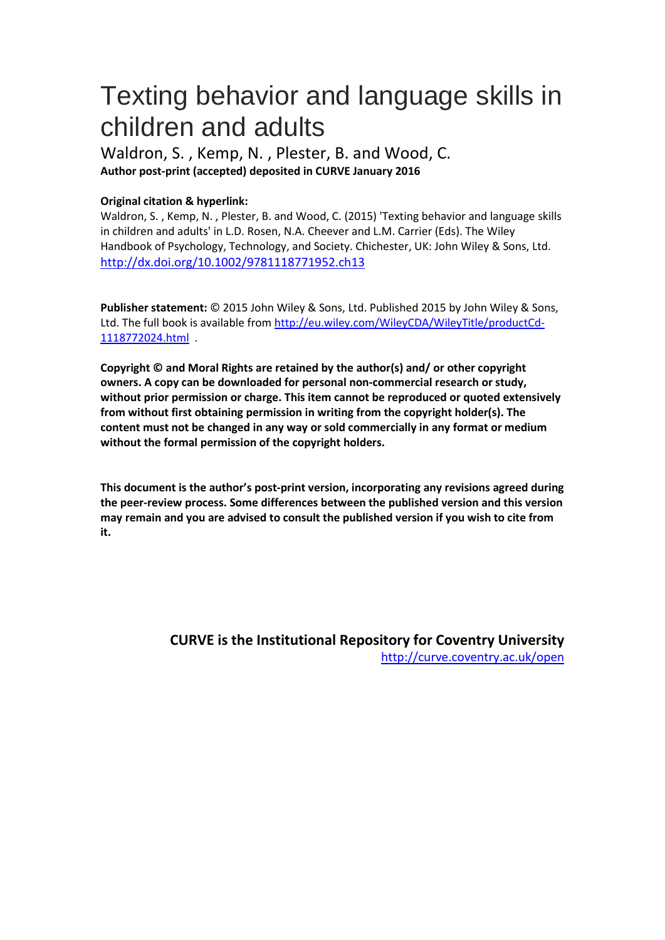# Texting behavior and language skills in children and adults

Waldron, S. , Kemp, N. , Plester, B. and Wood, C. **Author post-print (accepted) deposited in CURVE January 2016**

# **Original citation & hyperlink:**

Waldron, S. , Kemp, N. , Plester, B. and Wood, C. (2015) 'Texting behavior and language skills in children and adults' in L.D. Rosen, N.A. Cheever and L.M. Carrier (Eds). The Wiley Handbook of Psychology, Technology, and Society. Chichester, UK: John Wiley & Sons, Ltd. <http://dx.doi.org/10.1002/9781118771952.ch13>

**Publisher statement:** © 2015 John Wiley & Sons, Ltd. Published 2015 by John Wiley & Sons, Ltd. The full book is available from http://eu.wiley.com/WileyCDA/WileyTitle/productCd-1118772024.html .

**Copyright © and Moral Rights are retained by the author(s) and/ or other copyright owners. A copy can be downloaded for personal non-commercial research or study, without prior permission or charge. This item cannot be reproduced or quoted extensively from without first obtaining permission in writing from the copyright holder(s). The content must not be changed in any way or sold commercially in any format or medium without the formal permission of the copyright holders.** 

**This document is the author's post-print version, incorporating any revisions agreed during the peer-review process. Some differences between the published version and this version may remain and you are advised to consult the published version if you wish to cite from it.** 

> **CURVE is the Institutional Repository for Coventry University** <http://curve.coventry.ac.uk/open>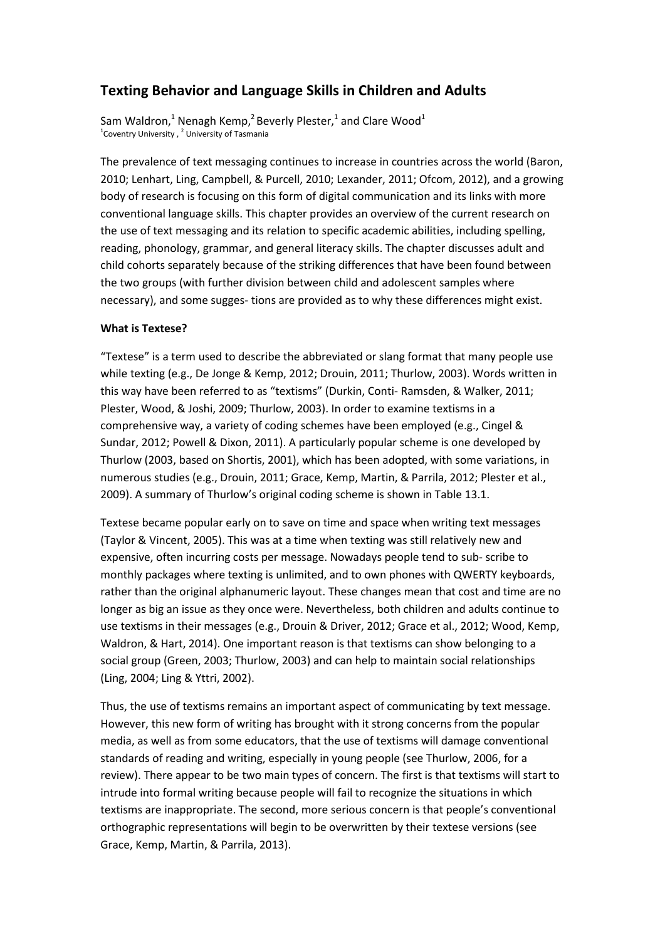# **Texting Behavior and Language Skills in Children and Adults**

Sam Waldron, $1$  Nenagh Kemp, $2$  Beverly Plester, $1$  and Clare Wood $1$ <sup>1</sup> Coventry University, <sup>2</sup> University of Tasmania

The prevalence of text messaging continues to increase in countries across the world (Baron, 2010; Lenhart, Ling, Campbell, & Purcell, 2010; Lexander, 2011; Ofcom, 2012), and a growing body of research is focusing on this form of digital communication and its links with more conventional language skills. This chapter provides an overview of the current research on the use of text messaging and its relation to specific academic abilities, including spelling, reading, phonology, grammar, and general literacy skills. The chapter discusses adult and child cohorts separately because of the striking differences that have been found between the two groups (with further division between child and adolescent samples where necessary), and some sugges- tions are provided as to why these differences might exist.

# **What is Textese?**

"Textese" is a term used to describe the abbreviated or slang format that many people use while texting (e.g., De Jonge & Kemp, 2012; Drouin, 2011; Thurlow, 2003). Words written in this way have been referred to as "textisms" (Durkin, Conti- Ramsden, & Walker, 2011; Plester, Wood, & Joshi, 2009; Thurlow, 2003). In order to examine textisms in a comprehensive way, a variety of coding schemes have been employed (e.g., Cingel & Sundar, 2012; Powell & Dixon, 2011). A particularly popular scheme is one developed by Thurlow (2003, based on Shortis, 2001), which has been adopted, with some variations, in numerous studies (e.g., Drouin, 2011; Grace, Kemp, Martin, & Parrila, 2012; Plester et al., 2009). A summary of Thurlow's original coding scheme is shown in Table 13.1.

Textese became popular early on to save on time and space when writing text messages (Taylor & Vincent, 2005). This was at a time when texting was still relatively new and expensive, often incurring costs per message. Nowadays people tend to sub- scribe to monthly packages where texting is unlimited, and to own phones with QWERTY keyboards, rather than the original alphanumeric layout. These changes mean that cost and time are no longer as big an issue as they once were. Nevertheless, both children and adults continue to use textisms in their messages (e.g., Drouin & Driver, 2012; Grace et al., 2012; Wood, Kemp, Waldron, & Hart, 2014). One important reason is that textisms can show belonging to a social group (Green, 2003; Thurlow, 2003) and can help to maintain social relationships (Ling, 2004; Ling & Yttri, 2002).

Thus, the use of textisms remains an important aspect of communicating by text message. However, this new form of writing has brought with it strong concerns from the popular media, as well as from some educators, that the use of textisms will damage conventional standards of reading and writing, especially in young people (see Thurlow, 2006, for a review). There appear to be two main types of concern. The first is that textisms will start to intrude into formal writing because people will fail to recognize the situations in which textisms are inappropriate. The second, more serious concern is that people's conventional orthographic representations will begin to be overwritten by their textese versions (see Grace, Kemp, Martin, & Parrila, 2013).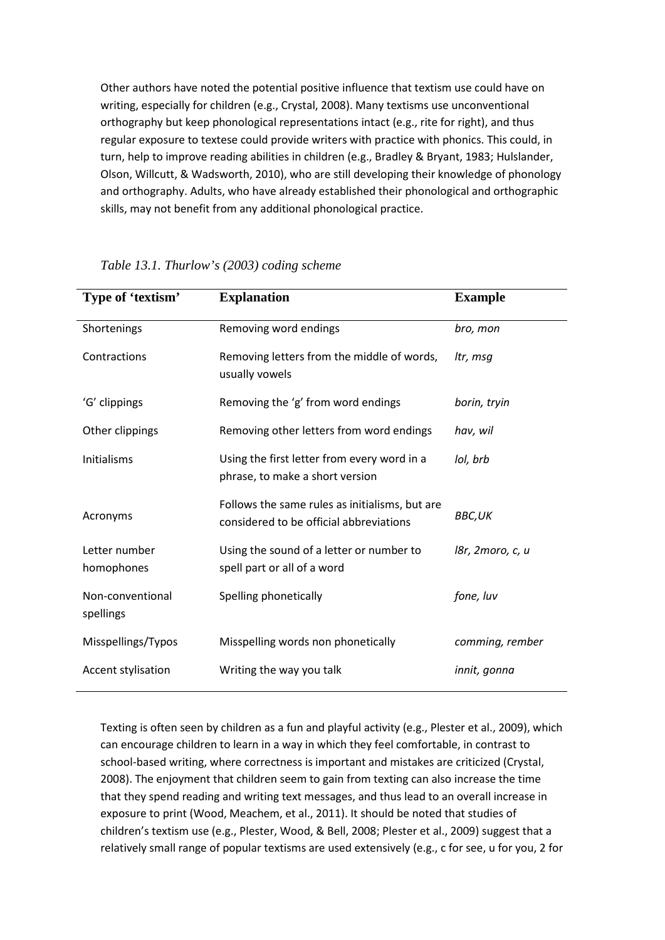Other authors have noted the potential positive influence that textism use could have on writing, especially for children (e.g., Crystal, 2008). Many textisms use unconventional orthography but keep phonological representations intact (e.g., rite for right), and thus regular exposure to textese could provide writers with practice with phonics. This could, in turn, help to improve reading abilities in children (e.g., Bradley & Bryant, 1983; Hulslander, Olson, Willcutt, & Wadsworth, 2010), who are still developing their knowledge of phonology and orthography. Adults, who have already established their phonological and orthographic skills, may not benefit from any additional phonological practice.

| Type of 'textism'             | <b>Explanation</b>                                                                        | <b>Example</b>   |
|-------------------------------|-------------------------------------------------------------------------------------------|------------------|
| Shortenings                   | Removing word endings                                                                     | bro, mon         |
| Contractions                  | Removing letters from the middle of words,<br>usually vowels                              | ltr, msq         |
| 'G' clippings                 | Removing the 'g' from word endings                                                        | borin, tryin     |
| Other clippings               | Removing other letters from word endings                                                  | hav, wil         |
| <b>Initialisms</b>            | Using the first letter from every word in a<br>phrase, to make a short version            | lol, brb         |
| Acronyms                      | Follows the same rules as initialisms, but are<br>considered to be official abbreviations | <b>BBC,UK</b>    |
| Letter number<br>homophones   | Using the sound of a letter or number to<br>spell part or all of a word                   | l8r, 2moro, c, u |
| Non-conventional<br>spellings | Spelling phonetically                                                                     | fone, luv        |
| Misspellings/Typos            | Misspelling words non phonetically                                                        | comming, rember  |
| Accent stylisation            | Writing the way you talk                                                                  | innit, gonna     |

## *Table 13.1. Thurlow's (2003) coding scheme*

Texting is often seen by children as a fun and playful activity (e.g., Plester et al., 2009), which can encourage children to learn in a way in which they feel comfortable, in contrast to school-based writing, where correctness is important and mistakes are criticized (Crystal, 2008). The enjoyment that children seem to gain from texting can also increase the time that they spend reading and writing text messages, and thus lead to an overall increase in exposure to print (Wood, Meachem, et al., 2011). It should be noted that studies of children's textism use (e.g., Plester, Wood, & Bell, 2008; Plester et al., 2009) suggest that a relatively small range of popular textisms are used extensively (e.g., c for see, u for you, 2 for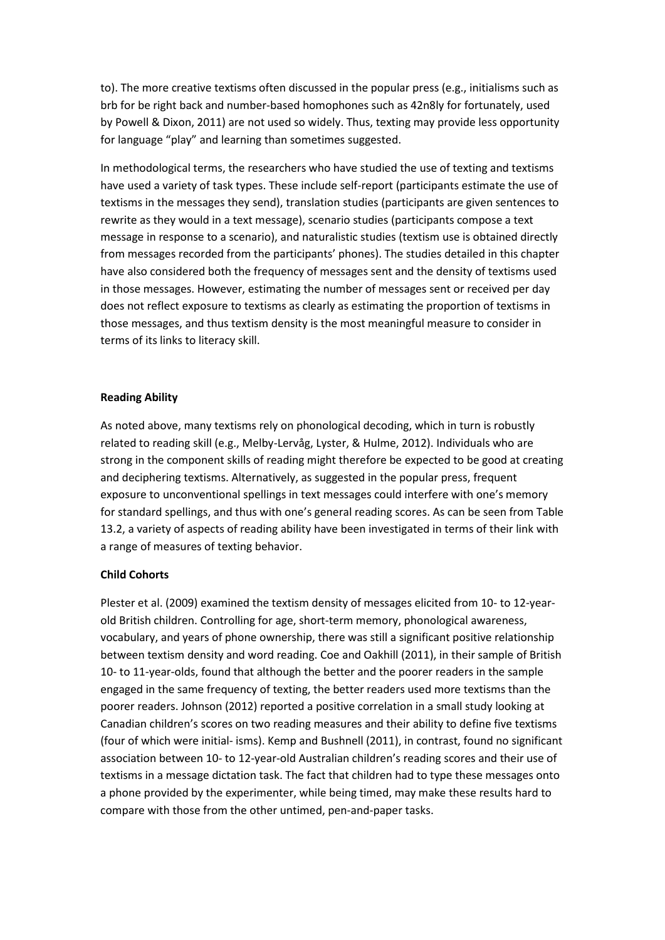to). The more creative textisms often discussed in the popular press (e.g., initialisms such as brb for be right back and number-based homophones such as 42n8ly for fortunately, used by Powell & Dixon, 2011) are not used so widely. Thus, texting may provide less opportunity for language "play" and learning than sometimes suggested.

In methodological terms, the researchers who have studied the use of texting and textisms have used a variety of task types. These include self-report (participants estimate the use of textisms in the messages they send), translation studies (participants are given sentences to rewrite as they would in a text message), scenario studies (participants compose a text message in response to a scenario), and naturalistic studies (textism use is obtained directly from messages recorded from the participants' phones). The studies detailed in this chapter have also considered both the frequency of messages sent and the density of textisms used in those messages. However, estimating the number of messages sent or received per day does not reflect exposure to textisms as clearly as estimating the proportion of textisms in those messages, and thus textism density is the most meaningful measure to consider in terms of its links to literacy skill.

#### **Reading Ability**

As noted above, many textisms rely on phonological decoding, which in turn is robustly related to reading skill (e.g., Melby-Lervåg, Lyster, & Hulme, 2012). Individuals who are strong in the component skills of reading might therefore be expected to be good at creating and deciphering textisms. Alternatively, as suggested in the popular press, frequent exposure to unconventional spellings in text messages could interfere with one's memory for standard spellings, and thus with one's general reading scores. As can be seen from Table 13.2, a variety of aspects of reading ability have been investigated in terms of their link with a range of measures of texting behavior.

### **Child Cohorts**

Plester et al. (2009) examined the textism density of messages elicited from 10- to 12-yearold British children. Controlling for age, short-term memory, phonological awareness, vocabulary, and years of phone ownership, there was still a significant positive relationship between textism density and word reading. Coe and Oakhill (2011), in their sample of British 10- to 11-year-olds, found that although the better and the poorer readers in the sample engaged in the same frequency of texting, the better readers used more textisms than the poorer readers. Johnson (2012) reported a positive correlation in a small study looking at Canadian children's scores on two reading measures and their ability to define five textisms (four of which were initial- isms). Kemp and Bushnell (2011), in contrast, found no significant association between 10- to 12-year-old Australian children's reading scores and their use of textisms in a message dictation task. The fact that children had to type these messages onto a phone provided by the experimenter, while being timed, may make these results hard to compare with those from the other untimed, pen-and-paper tasks.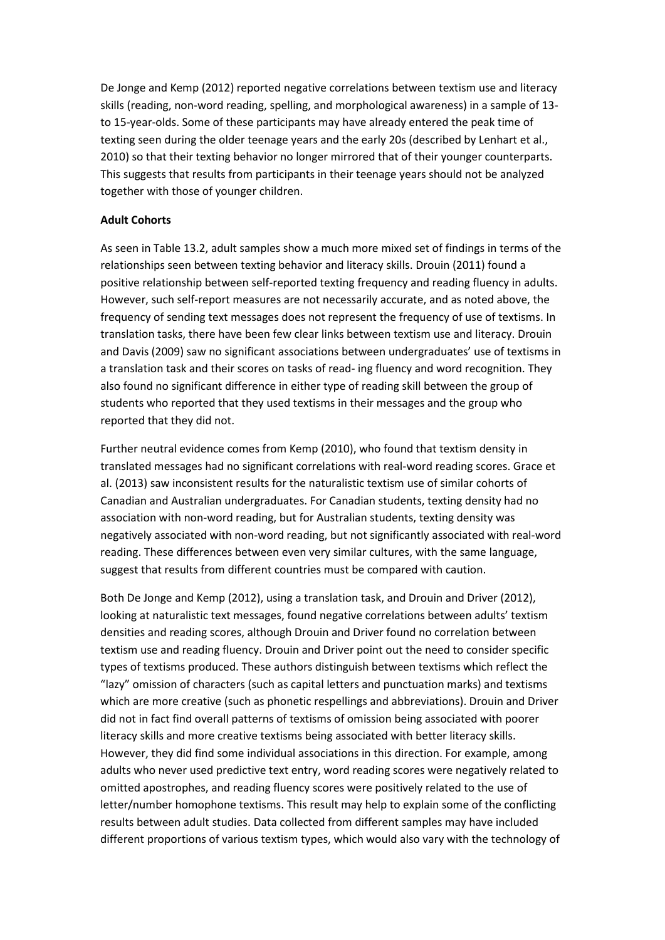De Jonge and Kemp (2012) reported negative correlations between textism use and literacy skills (reading, non-word reading, spelling, and morphological awareness) in a sample of 13 to 15-year-olds. Some of these participants may have already entered the peak time of texting seen during the older teenage years and the early 20s (described by Lenhart et al., 2010) so that their texting behavior no longer mirrored that of their younger counterparts. This suggests that results from participants in their teenage years should not be analyzed together with those of younger children.

### **Adult Cohorts**

As seen in Table 13.2, adult samples show a much more mixed set of findings in terms of the relationships seen between texting behavior and literacy skills. Drouin (2011) found a positive relationship between self-reported texting frequency and reading fluency in adults. However, such self-report measures are not necessarily accurate, and as noted above, the frequency of sending text messages does not represent the frequency of use of textisms. In translation tasks, there have been few clear links between textism use and literacy. Drouin and Davis (2009) saw no significant associations between undergraduates' use of textisms in a translation task and their scores on tasks of read- ing fluency and word recognition. They also found no significant difference in either type of reading skill between the group of students who reported that they used textisms in their messages and the group who reported that they did not.

Further neutral evidence comes from Kemp (2010), who found that textism density in translated messages had no significant correlations with real-word reading scores. Grace et al. (2013) saw inconsistent results for the naturalistic textism use of similar cohorts of Canadian and Australian undergraduates. For Canadian students, texting density had no association with non-word reading, but for Australian students, texting density was negatively associated with non-word reading, but not significantly associated with real-word reading. These differences between even very similar cultures, with the same language, suggest that results from different countries must be compared with caution.

Both De Jonge and Kemp (2012), using a translation task, and Drouin and Driver (2012), looking at naturalistic text messages, found negative correlations between adults' textism densities and reading scores, although Drouin and Driver found no correlation between textism use and reading fluency. Drouin and Driver point out the need to consider specific types of textisms produced. These authors distinguish between textisms which reflect the "lazy" omission of characters (such as capital letters and punctuation marks) and textisms which are more creative (such as phonetic respellings and abbreviations). Drouin and Driver did not in fact find overall patterns of textisms of omission being associated with poorer literacy skills and more creative textisms being associated with better literacy skills. However, they did find some individual associations in this direction. For example, among adults who never used predictive text entry, word reading scores were negatively related to omitted apostrophes, and reading fluency scores were positively related to the use of letter/number homophone textisms. This result may help to explain some of the conflicting results between adult studies. Data collected from different samples may have included different proportions of various textism types, which would also vary with the technology of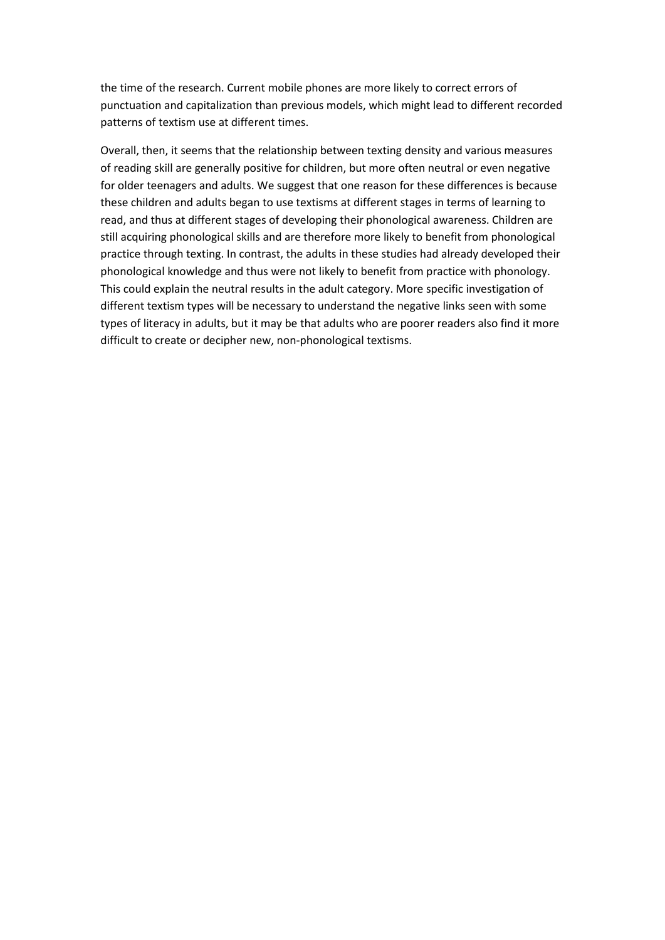the time of the research. Current mobile phones are more likely to correct errors of punctuation and capitalization than previous models, which might lead to different recorded patterns of textism use at different times.

Overall, then, it seems that the relationship between texting density and various measures of reading skill are generally positive for children, but more often neutral or even negative for older teenagers and adults. We suggest that one reason for these differences is because these children and adults began to use textisms at different stages in terms of learning to read, and thus at different stages of developing their phonological awareness. Children are still acquiring phonological skills and are therefore more likely to benefit from phonological practice through texting. In contrast, the adults in these studies had already developed their phonological knowledge and thus were not likely to benefit from practice with phonology. This could explain the neutral results in the adult category. More specific investigation of different textism types will be necessary to understand the negative links seen with some types of literacy in adults, but it may be that adults who are poorer readers also find it more difficult to create or decipher new, non-phonological textisms.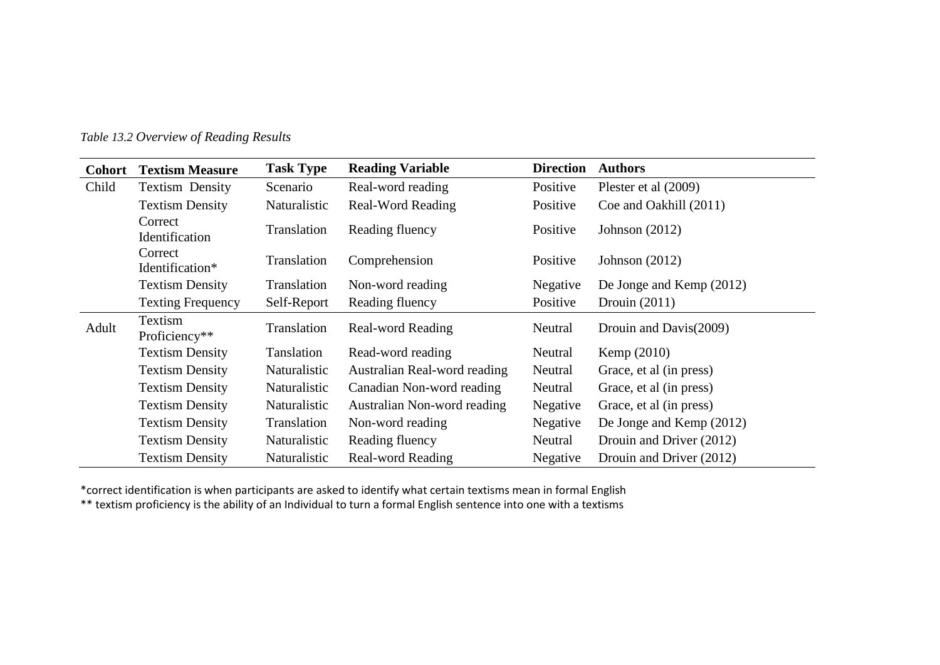| <b>Cohort</b> | <b>Textism Measure</b>     | <b>Task Type</b> | <b>Reading Variable</b>      | <b>Direction</b> | <b>Authors</b>           |
|---------------|----------------------------|------------------|------------------------------|------------------|--------------------------|
| Child         | <b>Textism Density</b>     | Scenario         | Real-word reading            | Positive         | Plester et al (2009)     |
|               | <b>Textism Density</b>     | Naturalistic     | Real-Word Reading            | Positive         | Coe and Oakhill (2011)   |
|               | Correct<br>Identification  | Translation      | Reading fluency              | Positive         | Johnson $(2012)$         |
|               | Correct<br>Identification* | Translation      | Comprehension                | Positive         | Johnson $(2012)$         |
|               | <b>Textism Density</b>     | Translation      | Non-word reading             | Negative         | De Jonge and Kemp (2012) |
|               | <b>Texting Frequency</b>   | Self-Report      | Reading fluency              | Positive         | Drouin $(2011)$          |
| Adult         | Textism<br>Proficiency**   | Translation      | Real-word Reading            | Neutral          | Drouin and Davis(2009)   |
|               | <b>Textism Density</b>     | Tanslation       | Read-word reading            | Neutral          | Kemp $(2010)$            |
|               | <b>Textism Density</b>     | Naturalistic     | Australian Real-word reading | Neutral          | Grace, et al (in press)  |
|               | <b>Textism Density</b>     | Naturalistic     | Canadian Non-word reading    | Neutral          | Grace, et al (in press)  |
|               | <b>Textism Density</b>     | Naturalistic     | Australian Non-word reading  | Negative         | Grace, et al (in press)  |
|               | <b>Textism Density</b>     | Translation      | Non-word reading             | Negative         | De Jonge and Kemp (2012) |
|               | <b>Textism Density</b>     | Naturalistic     | Reading fluency              | Neutral          | Drouin and Driver (2012) |
|               | <b>Textism Density</b>     | Naturalistic     | Real-word Reading            | Negative         | Drouin and Driver (2012) |

*Table 13.2 Overview of Reading Results*

\*correct identification is when participants are asked to identify what certain textisms mean in formal English

\*\* textism proficiency is the ability of an Individual to turn a formal English sentence into one with a textisms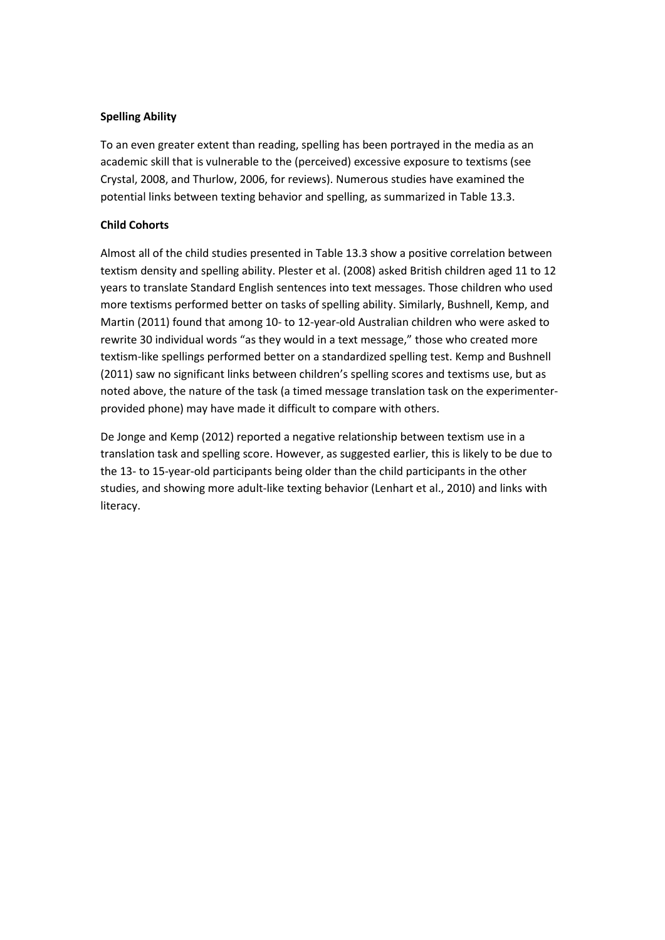## **Spelling Ability**

To an even greater extent than reading, spelling has been portrayed in the media as an academic skill that is vulnerable to the (perceived) excessive exposure to textisms (see Crystal, 2008, and Thurlow, 2006, for reviews). Numerous studies have examined the potential links between texting behavior and spelling, as summarized in Table 13.3.

# **Child Cohorts**

Almost all of the child studies presented in Table 13.3 show a positive correlation between textism density and spelling ability. Plester et al. (2008) asked British children aged 11 to 12 years to translate Standard English sentences into text messages. Those children who used more textisms performed better on tasks of spelling ability. Similarly, Bushnell, Kemp, and Martin (2011) found that among 10- to 12-year-old Australian children who were asked to rewrite 30 individual words "as they would in a text message," those who created more textism-like spellings performed better on a standardized spelling test. Kemp and Bushnell (2011) saw no significant links between children's spelling scores and textisms use, but as noted above, the nature of the task (a timed message translation task on the experimenterprovided phone) may have made it difficult to compare with others.

De Jonge and Kemp (2012) reported a negative relationship between textism use in a translation task and spelling score. However, as suggested earlier, this is likely to be due to the 13- to 15-year-old participants being older than the child participants in the other studies, and showing more adult-like texting behavior (Lenhart et al., 2010) and links with literacy.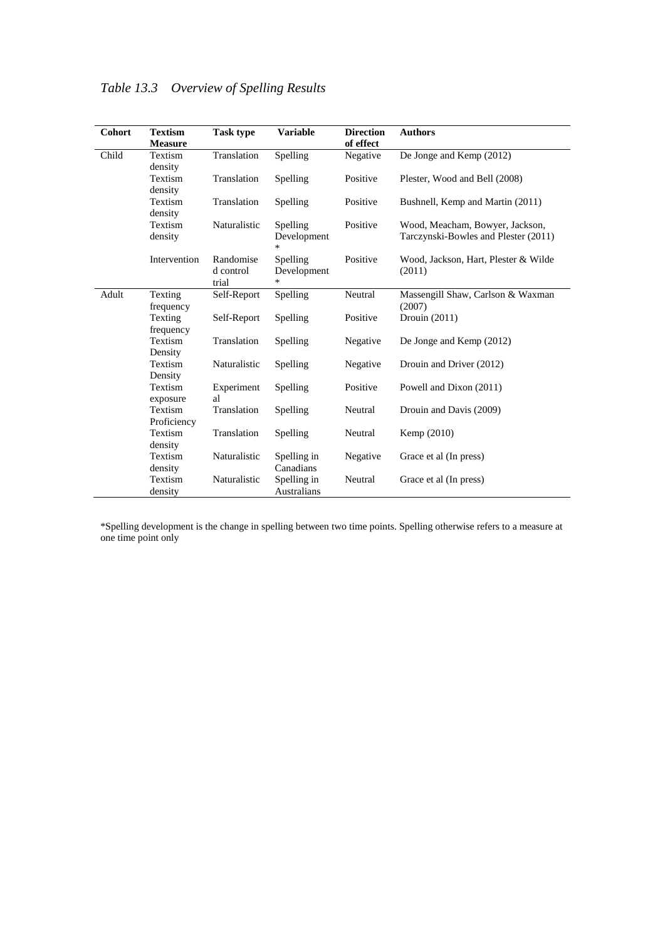| <b>Cohort</b> | <b>Textism</b><br><b>Measure</b> | <b>Task type</b>                | <b>Variable</b>                   | <b>Direction</b><br>of effect | <b>Authors</b>                                                          |
|---------------|----------------------------------|---------------------------------|-----------------------------------|-------------------------------|-------------------------------------------------------------------------|
| Child         | Textism<br>density               | Translation                     | Spelling                          | Negative                      | De Jonge and Kemp (2012)                                                |
|               | Textism<br>density               | Translation                     | Spelling                          | Positive                      | Plester, Wood and Bell (2008)                                           |
|               | Textism<br>density               | Translation                     | Spelling                          | Positive                      | Bushnell, Kemp and Martin (2011)                                        |
|               | Textism<br>density               | Naturalistic                    | Spelling<br>Development<br>$\ast$ | Positive                      | Wood, Meacham, Bowyer, Jackson,<br>Tarczynski-Bowles and Plester (2011) |
|               | Intervention                     | Randomise<br>d control<br>trial | Spelling<br>Development<br>*      | Positive                      | Wood, Jackson, Hart, Plester & Wilde<br>(2011)                          |
| Adult         | Texting<br>frequency             | Self-Report                     | Spelling                          | Neutral                       | Massengill Shaw, Carlson & Waxman<br>(2007)                             |
|               | Texting<br>frequency             | Self-Report                     | Spelling                          | Positive                      | Drouin (2011)                                                           |
|               | Textism<br>Density               | Translation                     | Spelling                          | Negative                      | De Jonge and Kemp (2012)                                                |
|               | Textism<br>Density               | Naturalistic                    | Spelling                          | Negative                      | Drouin and Driver (2012)                                                |
|               | Textism<br>exposure              | Experiment<br>al                | Spelling                          | Positive                      | Powell and Dixon (2011)                                                 |
|               | Textism<br>Proficiency           | Translation                     | Spelling                          | Neutral                       | Drouin and Davis (2009)                                                 |
|               | Textism<br>density               | Translation                     | Spelling                          | Neutral                       | Kemp (2010)                                                             |
|               | Textism<br>density               | Naturalistic                    | Spelling in<br>Canadians          | Negative                      | Grace et al (In press)                                                  |
|               | Textism<br>density               | Naturalistic                    | Spelling in<br>Australians        | Neutral                       | Grace et al (In press)                                                  |

\*Spelling development is the change in spelling between two time points. Spelling otherwise refers to a measure at one time point only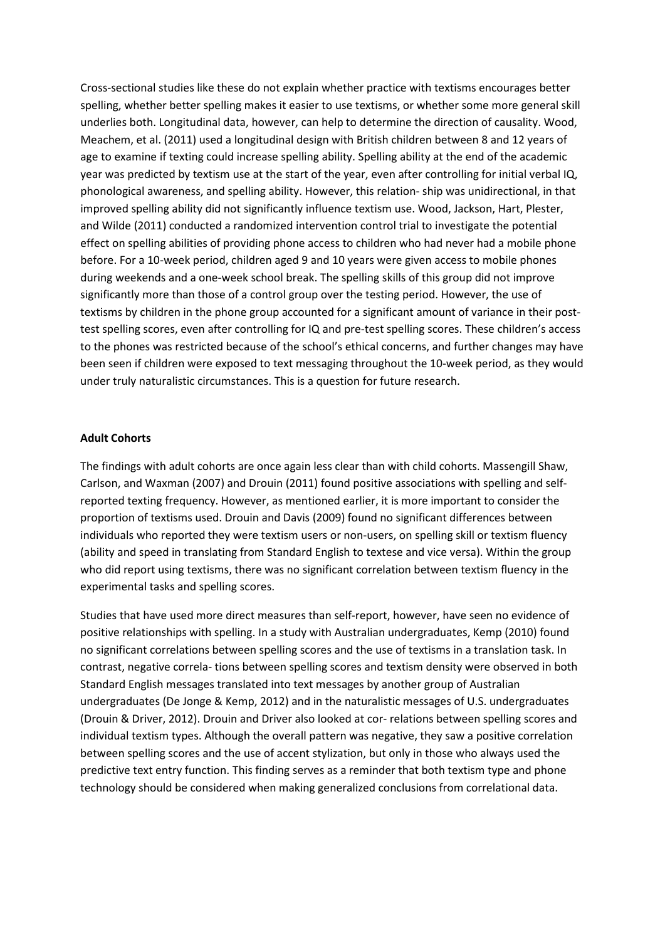Cross-sectional studies like these do not explain whether practice with textisms encourages better spelling, whether better spelling makes it easier to use textisms, or whether some more general skill underlies both. Longitudinal data, however, can help to determine the direction of causality. Wood, Meachem, et al. (2011) used a longitudinal design with British children between 8 and 12 years of age to examine if texting could increase spelling ability. Spelling ability at the end of the academic year was predicted by textism use at the start of the year, even after controlling for initial verbal IQ, phonological awareness, and spelling ability. However, this relation- ship was unidirectional, in that improved spelling ability did not significantly influence textism use. Wood, Jackson, Hart, Plester, and Wilde (2011) conducted a randomized intervention control trial to investigate the potential effect on spelling abilities of providing phone access to children who had never had a mobile phone before. For a 10-week period, children aged 9 and 10 years were given access to mobile phones during weekends and a one-week school break. The spelling skills of this group did not improve significantly more than those of a control group over the testing period. However, the use of textisms by children in the phone group accounted for a significant amount of variance in their posttest spelling scores, even after controlling for IQ and pre-test spelling scores. These children's access to the phones was restricted because of the school's ethical concerns, and further changes may have been seen if children were exposed to text messaging throughout the 10-week period, as they would under truly naturalistic circumstances. This is a question for future research.

#### **Adult Cohorts**

The findings with adult cohorts are once again less clear than with child cohorts. Massengill Shaw, Carlson, and Waxman (2007) and Drouin (2011) found positive associations with spelling and selfreported texting frequency. However, as mentioned earlier, it is more important to consider the proportion of textisms used. Drouin and Davis (2009) found no significant differences between individuals who reported they were textism users or non-users, on spelling skill or textism fluency (ability and speed in translating from Standard English to textese and vice versa). Within the group who did report using textisms, there was no significant correlation between textism fluency in the experimental tasks and spelling scores.

Studies that have used more direct measures than self-report, however, have seen no evidence of positive relationships with spelling. In a study with Australian undergraduates, Kemp (2010) found no significant correlations between spelling scores and the use of textisms in a translation task. In contrast, negative correla- tions between spelling scores and textism density were observed in both Standard English messages translated into text messages by another group of Australian undergraduates (De Jonge & Kemp, 2012) and in the naturalistic messages of U.S. undergraduates (Drouin & Driver, 2012). Drouin and Driver also looked at cor- relations between spelling scores and individual textism types. Although the overall pattern was negative, they saw a positive correlation between spelling scores and the use of accent stylization, but only in those who always used the predictive text entry function. This finding serves as a reminder that both textism type and phone technology should be considered when making generalized conclusions from correlational data.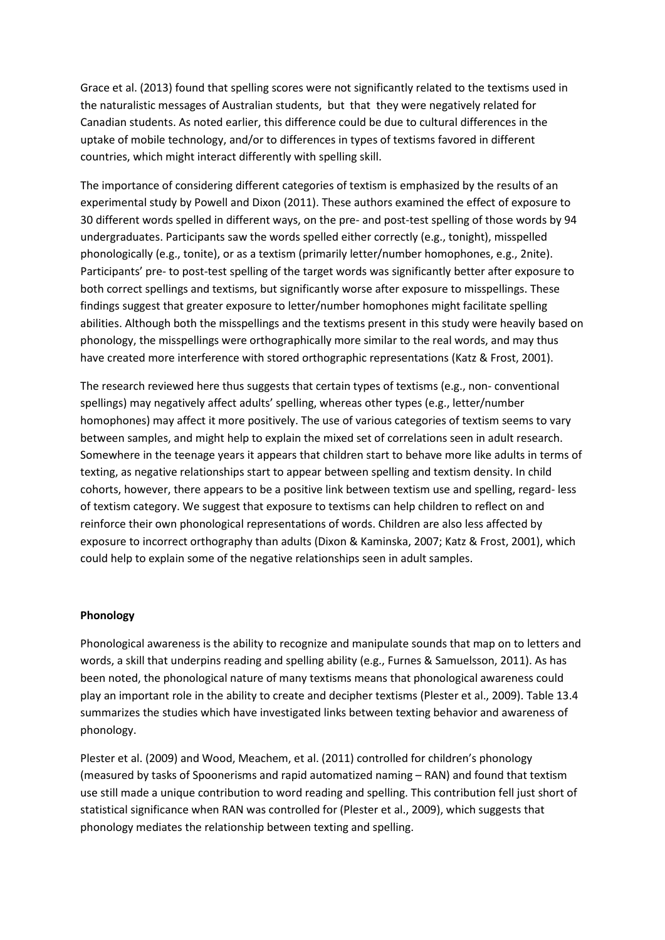Grace et al. (2013) found that spelling scores were not significantly related to the textisms used in the naturalistic messages of Australian students, but that they were negatively related for Canadian students. As noted earlier, this difference could be due to cultural differences in the uptake of mobile technology, and/or to differences in types of textisms favored in different countries, which might interact differently with spelling skill.

The importance of considering different categories of textism is emphasized by the results of an experimental study by Powell and Dixon (2011). These authors examined the effect of exposure to 30 different words spelled in different ways, on the pre- and post-test spelling of those words by 94 undergraduates. Participants saw the words spelled either correctly (e.g., tonight), misspelled phonologically (e.g., tonite), or as a textism (primarily letter/number homophones, e.g., 2nite). Participants' pre- to post-test spelling of the target words was significantly better after exposure to both correct spellings and textisms, but significantly worse after exposure to misspellings. These findings suggest that greater exposure to letter/number homophones might facilitate spelling abilities. Although both the misspellings and the textisms present in this study were heavily based on phonology, the misspellings were orthographically more similar to the real words, and may thus have created more interference with stored orthographic representations (Katz & Frost, 2001).

The research reviewed here thus suggests that certain types of textisms (e.g., non- conventional spellings) may negatively affect adults' spelling, whereas other types (e.g., letter/number homophones) may affect it more positively. The use of various categories of textism seems to vary between samples, and might help to explain the mixed set of correlations seen in adult research. Somewhere in the teenage years it appears that children start to behave more like adults in terms of texting, as negative relationships start to appear between spelling and textism density. In child cohorts, however, there appears to be a positive link between textism use and spelling, regard- less of textism category. We suggest that exposure to textisms can help children to reflect on and reinforce their own phonological representations of words. Children are also less affected by exposure to incorrect orthography than adults (Dixon & Kaminska, 2007; Katz & Frost, 2001), which could help to explain some of the negative relationships seen in adult samples.

### **Phonology**

Phonological awareness is the ability to recognize and manipulate sounds that map on to letters and words, a skill that underpins reading and spelling ability (e.g., Furnes & Samuelsson, 2011). As has been noted, the phonological nature of many textisms means that phonological awareness could play an important role in the ability to create and decipher textisms (Plester et al., 2009). Table 13.4 summarizes the studies which have investigated links between texting behavior and awareness of phonology.

Plester et al. (2009) and Wood, Meachem, et al. (2011) controlled for children's phonology (measured by tasks of Spoonerisms and rapid automatized naming – RAN) and found that textism use still made a unique contribution to word reading and spelling. This contribution fell just short of statistical significance when RAN was controlled for (Plester et al., 2009), which suggests that phonology mediates the relationship between texting and spelling.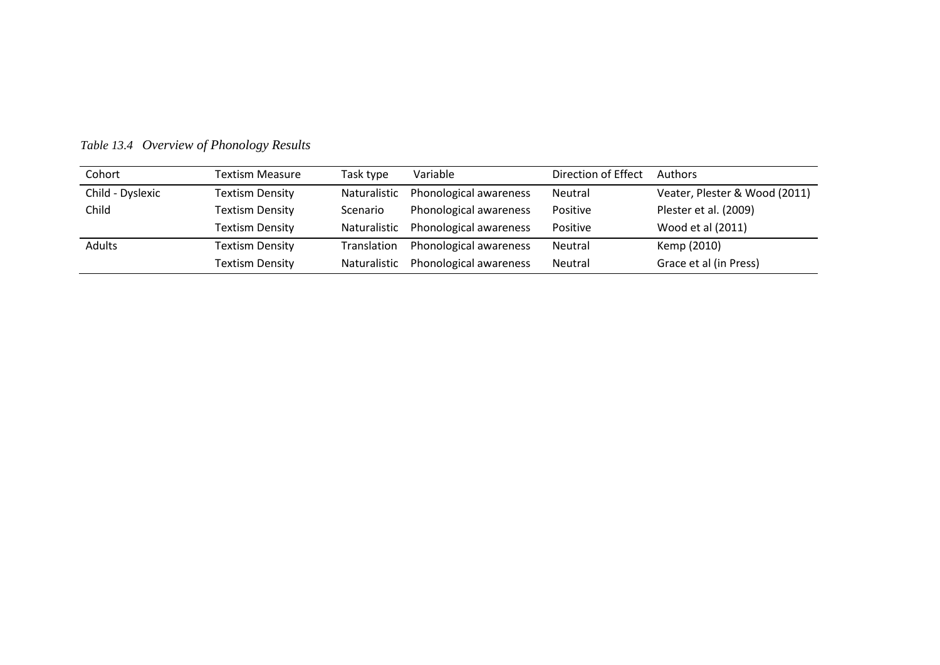| Cohort           | <b>Textism Measure</b> | Task type    | Variable               | Direction of Effect | <b>Authors</b>                |
|------------------|------------------------|--------------|------------------------|---------------------|-------------------------------|
| Child - Dyslexic | <b>Textism Density</b> | Naturalistic | Phonological awareness | Neutral             | Veater, Plester & Wood (2011) |
| Child            | <b>Textism Density</b> | Scenario     | Phonological awareness | Positive            | Plester et al. (2009)         |
|                  | <b>Textism Density</b> | Naturalistic | Phonological awareness | Positive            | Wood et al (2011)             |
| Adults           | <b>Textism Density</b> | Translation  | Phonological awareness | Neutral             | Kemp (2010)                   |
|                  | <b>Textism Density</b> | Naturalistic | Phonological awareness | Neutral             | Grace et al (in Press)        |

*Table 13.4 Overview of Phonology Results*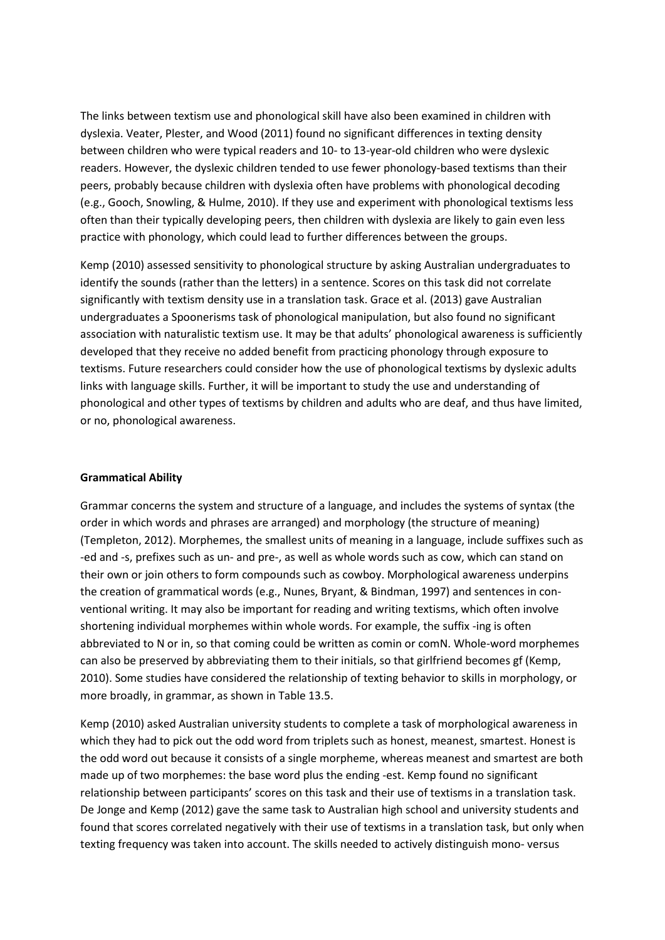The links between textism use and phonological skill have also been examined in children with dyslexia. Veater, Plester, and Wood (2011) found no significant differences in texting density between children who were typical readers and 10- to 13-year-old children who were dyslexic readers. However, the dyslexic children tended to use fewer phonology-based textisms than their peers, probably because children with dyslexia often have problems with phonological decoding (e.g., Gooch, Snowling, & Hulme, 2010). If they use and experiment with phonological textisms less often than their typically developing peers, then children with dyslexia are likely to gain even less practice with phonology, which could lead to further differences between the groups.

Kemp (2010) assessed sensitivity to phonological structure by asking Australian undergraduates to identify the sounds (rather than the letters) in a sentence. Scores on this task did not correlate significantly with textism density use in a translation task. Grace et al. (2013) gave Australian undergraduates a Spoonerisms task of phonological manipulation, but also found no significant association with naturalistic textism use. It may be that adults' phonological awareness is sufficiently developed that they receive no added benefit from practicing phonology through exposure to textisms. Future researchers could consider how the use of phonological textisms by dyslexic adults links with language skills. Further, it will be important to study the use and understanding of phonological and other types of textisms by children and adults who are deaf, and thus have limited, or no, phonological awareness.

### **Grammatical Ability**

Grammar concerns the system and structure of a language, and includes the systems of syntax (the order in which words and phrases are arranged) and morphology (the structure of meaning) (Templeton, 2012). Morphemes, the smallest units of meaning in a language, include suffixes such as -ed and -s, prefixes such as un- and pre-, as well as whole words such as cow, which can stand on their own or join others to form compounds such as cowboy. Morphological awareness underpins the creation of grammatical words (e.g., Nunes, Bryant, & Bindman, 1997) and sentences in conventional writing. It may also be important for reading and writing textisms, which often involve shortening individual morphemes within whole words. For example, the suffix -ing is often abbreviated to N or in, so that coming could be written as comin or comN. Whole-word morphemes can also be preserved by abbreviating them to their initials, so that girlfriend becomes gf (Kemp, 2010). Some studies have considered the relationship of texting behavior to skills in morphology, or more broadly, in grammar, as shown in Table 13.5.

Kemp (2010) asked Australian university students to complete a task of morphological awareness in which they had to pick out the odd word from triplets such as honest, meanest, smartest. Honest is the odd word out because it consists of a single morpheme, whereas meanest and smartest are both made up of two morphemes: the base word plus the ending -est. Kemp found no significant relationship between participants' scores on this task and their use of textisms in a translation task. De Jonge and Kemp (2012) gave the same task to Australian high school and university students and found that scores correlated negatively with their use of textisms in a translation task, but only when texting frequency was taken into account. The skills needed to actively distinguish mono- versus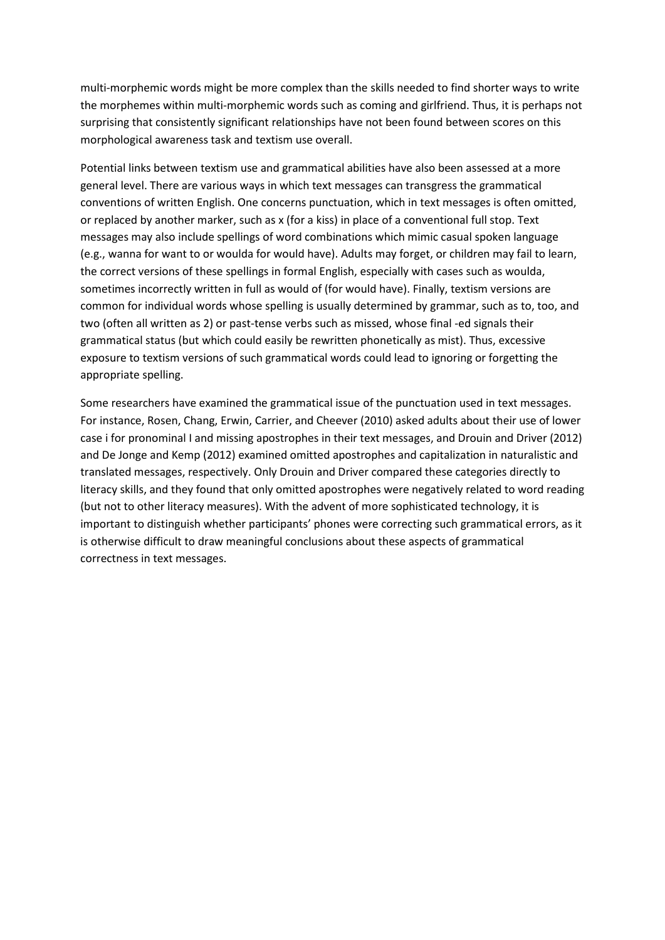multi-morphemic words might be more complex than the skills needed to find shorter ways to write the morphemes within multi-morphemic words such as coming and girlfriend. Thus, it is perhaps not surprising that consistently significant relationships have not been found between scores on this morphological awareness task and textism use overall.

Potential links between textism use and grammatical abilities have also been assessed at a more general level. There are various ways in which text messages can transgress the grammatical conventions of written English. One concerns punctuation, which in text messages is often omitted, or replaced by another marker, such as x (for a kiss) in place of a conventional full stop. Text messages may also include spellings of word combinations which mimic casual spoken language (e.g., wanna for want to or woulda for would have). Adults may forget, or children may fail to learn, the correct versions of these spellings in formal English, especially with cases such as woulda, sometimes incorrectly written in full as would of (for would have). Finally, textism versions are common for individual words whose spelling is usually determined by grammar, such as to, too, and two (often all written as 2) or past-tense verbs such as missed, whose final -ed signals their grammatical status (but which could easily be rewritten phonetically as mist). Thus, excessive exposure to textism versions of such grammatical words could lead to ignoring or forgetting the appropriate spelling.

Some researchers have examined the grammatical issue of the punctuation used in text messages. For instance, Rosen, Chang, Erwin, Carrier, and Cheever (2010) asked adults about their use of lower case i for pronominal I and missing apostrophes in their text messages, and Drouin and Driver (2012) and De Jonge and Kemp (2012) examined omitted apostrophes and capitalization in naturalistic and translated messages, respectively. Only Drouin and Driver compared these categories directly to literacy skills, and they found that only omitted apostrophes were negatively related to word reading (but not to other literacy measures). With the advent of more sophisticated technology, it is important to distinguish whether participants' phones were correcting such grammatical errors, as it is otherwise difficult to draw meaningful conclusions about these aspects of grammatical correctness in text messages.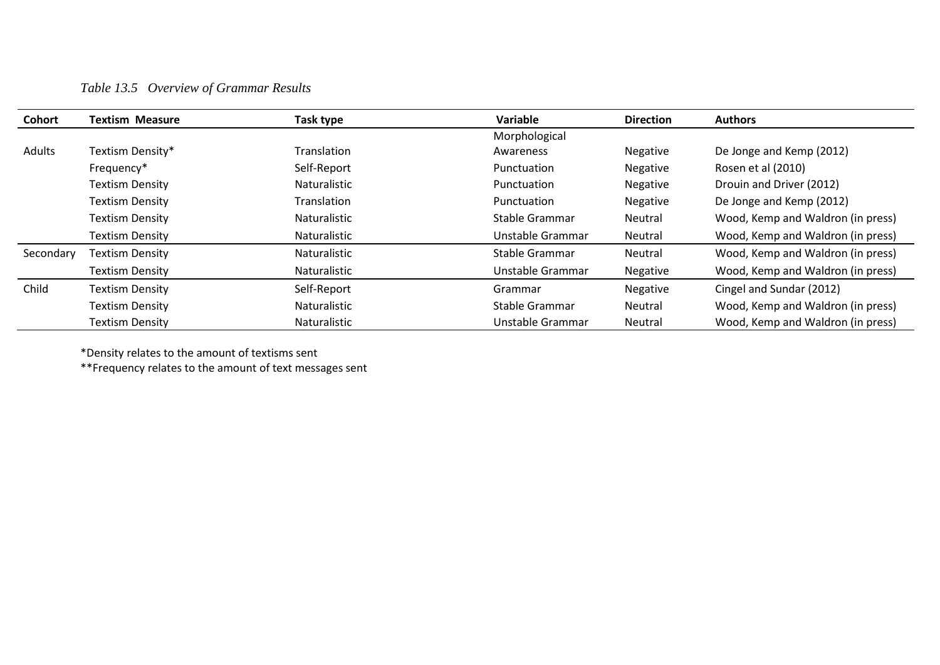# *Table 13.5 Overview of Grammar Results*

| Cohort    | <b>Textism Measure</b> | Task type           | Variable         | <b>Direction</b> | <b>Authors</b>                    |
|-----------|------------------------|---------------------|------------------|------------------|-----------------------------------|
|           |                        |                     | Morphological    |                  |                                   |
| Adults    | Textism Density*       | Translation         | Awareness        | Negative         | De Jonge and Kemp (2012)          |
|           | Frequency*             | Self-Report         | Punctuation      | Negative         | Rosen et al (2010)                |
|           | <b>Textism Density</b> | <b>Naturalistic</b> | Punctuation      | Negative         | Drouin and Driver (2012)          |
|           | <b>Textism Density</b> | <b>Translation</b>  | Punctuation      | Negative         | De Jonge and Kemp (2012)          |
|           | <b>Textism Density</b> | Naturalistic        | Stable Grammar   | Neutral          | Wood, Kemp and Waldron (in press) |
|           | <b>Textism Density</b> | Naturalistic        | Unstable Grammar | Neutral          | Wood, Kemp and Waldron (in press) |
| Secondary | <b>Textism Density</b> | Naturalistic        | Stable Grammar   | Neutral          | Wood, Kemp and Waldron (in press) |
|           | <b>Textism Density</b> | Naturalistic        | Unstable Grammar | Negative         | Wood, Kemp and Waldron (in press) |
| Child     | <b>Textism Density</b> | Self-Report         | Grammar          | Negative         | Cingel and Sundar (2012)          |
|           | <b>Textism Density</b> | Naturalistic        | Stable Grammar   | Neutral          | Wood, Kemp and Waldron (in press) |
|           | <b>Textism Density</b> | Naturalistic        | Unstable Grammar | Neutral          | Wood, Kemp and Waldron (in press) |

\*Density relates to the amount of textisms sent

\*\*Frequency relates to the amount of text messages sent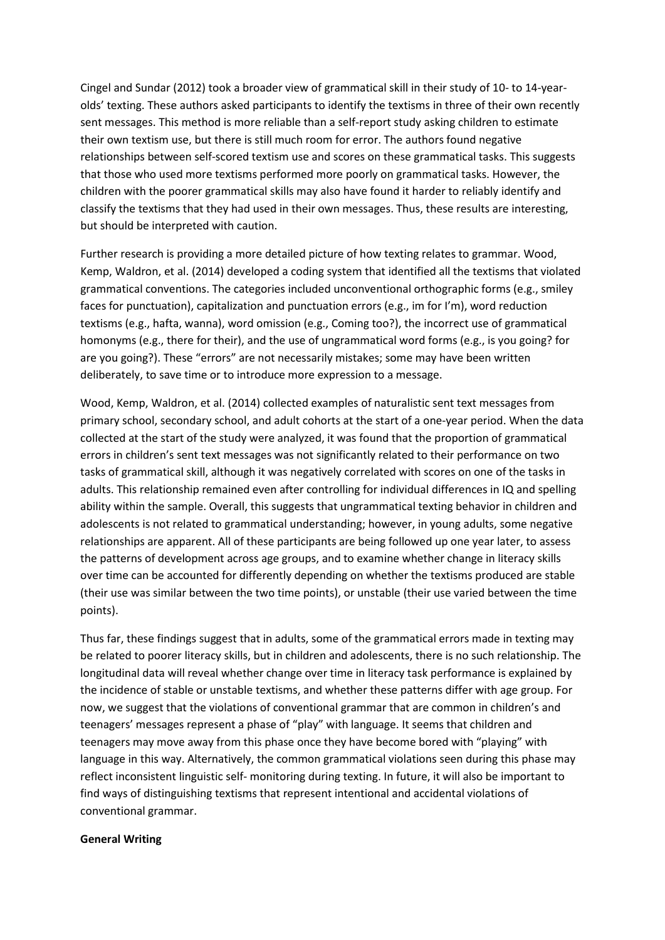Cingel and Sundar (2012) took a broader view of grammatical skill in their study of 10- to 14-yearolds' texting. These authors asked participants to identify the textisms in three of their own recently sent messages. This method is more reliable than a self-report study asking children to estimate their own textism use, but there is still much room for error. The authors found negative relationships between self-scored textism use and scores on these grammatical tasks. This suggests that those who used more textisms performed more poorly on grammatical tasks. However, the children with the poorer grammatical skills may also have found it harder to reliably identify and classify the textisms that they had used in their own messages. Thus, these results are interesting, but should be interpreted with caution.

Further research is providing a more detailed picture of how texting relates to grammar. Wood, Kemp, Waldron, et al. (2014) developed a coding system that identified all the textisms that violated grammatical conventions. The categories included unconventional orthographic forms (e.g., smiley faces for punctuation), capitalization and punctuation errors (e.g., im for I'm), word reduction textisms (e.g., hafta, wanna), word omission (e.g., Coming too?), the incorrect use of grammatical homonyms (e.g., there for their), and the use of ungrammatical word forms (e.g., is you going? for are you going?). These "errors" are not necessarily mistakes; some may have been written deliberately, to save time or to introduce more expression to a message.

Wood, Kemp, Waldron, et al. (2014) collected examples of naturalistic sent text messages from primary school, secondary school, and adult cohorts at the start of a one-year period. When the data collected at the start of the study were analyzed, it was found that the proportion of grammatical errors in children's sent text messages was not significantly related to their performance on two tasks of grammatical skill, although it was negatively correlated with scores on one of the tasks in adults. This relationship remained even after controlling for individual differences in IQ and spelling ability within the sample. Overall, this suggests that ungrammatical texting behavior in children and adolescents is not related to grammatical understanding; however, in young adults, some negative relationships are apparent. All of these participants are being followed up one year later, to assess the patterns of development across age groups, and to examine whether change in literacy skills over time can be accounted for differently depending on whether the textisms produced are stable (their use was similar between the two time points), or unstable (their use varied between the time points).

Thus far, these findings suggest that in adults, some of the grammatical errors made in texting may be related to poorer literacy skills, but in children and adolescents, there is no such relationship. The longitudinal data will reveal whether change over time in literacy task performance is explained by the incidence of stable or unstable textisms, and whether these patterns differ with age group. For now, we suggest that the violations of conventional grammar that are common in children's and teenagers' messages represent a phase of "play" with language. It seems that children and teenagers may move away from this phase once they have become bored with "playing" with language in this way. Alternatively, the common grammatical violations seen during this phase may reflect inconsistent linguistic self- monitoring during texting. In future, it will also be important to find ways of distinguishing textisms that represent intentional and accidental violations of conventional grammar.

#### **General Writing**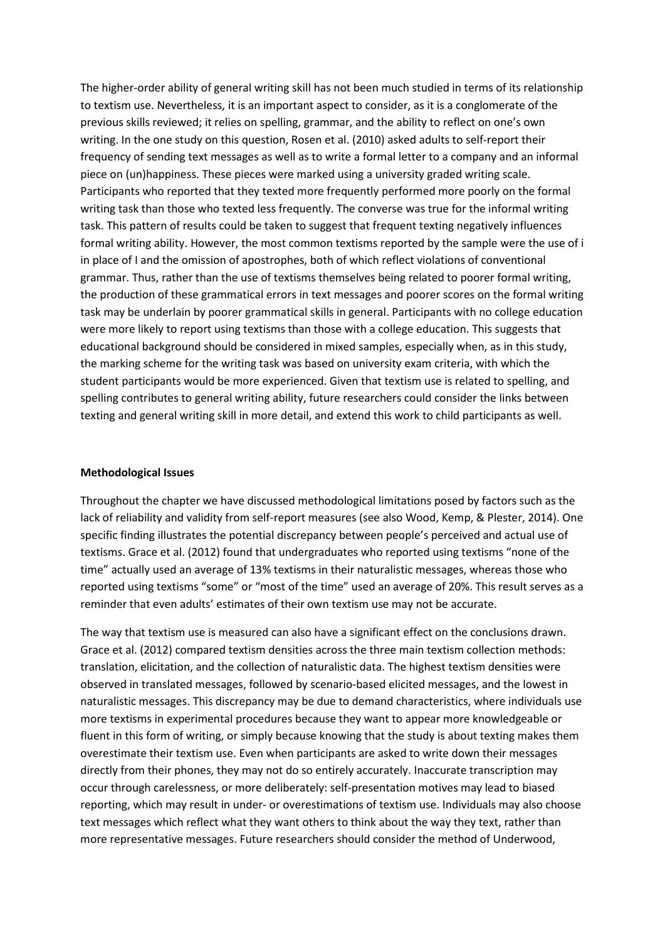The higher-order ability of general writing skill has not been much studied in terms of its relationship to textism use. Nevertheless, it is an important aspect to consider, as it is a conglomerate of the previous skills reviewed; it relies on spelling, grammar, and the ability to reflect on one's own writing. In the one study on this question, Rosen et al. (2010) asked adults to self-report their frequency of sending text messages as well as to write a formal letter to a company and an informal piece on (un)happiness. These pieces were marked using a university graded writing scale. Participants who reported that they texted more frequently performed more poorly on the formal writing task than those who texted less frequently. The converse was true for the informal writing task. This pattern of results could be taken to suggest that frequent texting negatively influences formal writing ability. However, the most common textisms reported by the sample were the use of i in place of I and the omission of apostrophes, both of which reflect violations of conventional grammar. Thus, rather than the use of textisms themselves being related to poorer formal writing, the production of these grammatical errors in text messages and poorer scores on the formal writing task may be underlain by poorer grammatical skills in general. Participants with no college education were more likely to report using textisms than those with a college education. This suggests that educational background should be considered in mixed samples, especially when, as in this study, the marking scheme for the writing task was based on university exam criteria, with which the student participants would be more experienced. Given that textism use is related to spelling, and spelling contributes to general writing ability, future researchers could consider the links between texting and general writing skill in more detail, and extend this work to child participants as well.

#### **Methodological Issues**

Throughout the chapter we have discussed methodological limitations posed by factors such as the lack of reliability and validity from self-report measures (see also Wood, Kemp, & Plester, 2014). One specific finding illustrates the potential discrepancy between people's perceived and actual use of textisms. Grace et al. (2012) found that undergraduates who reported using textisms "none of the time" actually used an average of 13% textisms in their naturalistic messages, whereas those who reported using textisms "some" or "most of the time" used an average of 20%. This result serves as a reminder that even adults' estimates of their own textism use may not be accurate.

The way that textism use is measured can also have a significant effect on the conclusions drawn. Grace et al. (2012) compared textism densities across the three main textism collection methods: translation, elicitation, and the collection of naturalistic data. The highest textism densities were observed in translated messages, followed by scenario-based elicited messages, and the lowest in naturalistic messages. This discrepancy may be due to demand characteristics, where individuals use more textisms in experimental procedures because they want to appear more knowledgeable or fluent in this form of writing, or simply because knowing that the study is about texting makes them overestimate their textism use. Even when participants are asked to write down their messages directly from their phones, they may not do so entirely accurately. Inaccurate transcription may occur through carelessness, or more deliberately: self-presentation motives may lead to biased reporting, which may result in under- or overestimations of textism use. Individuals may also choose text messages which reflect what they want others to think about the way they text, rather than more representative messages. Future researchers should consider the method of Underwood,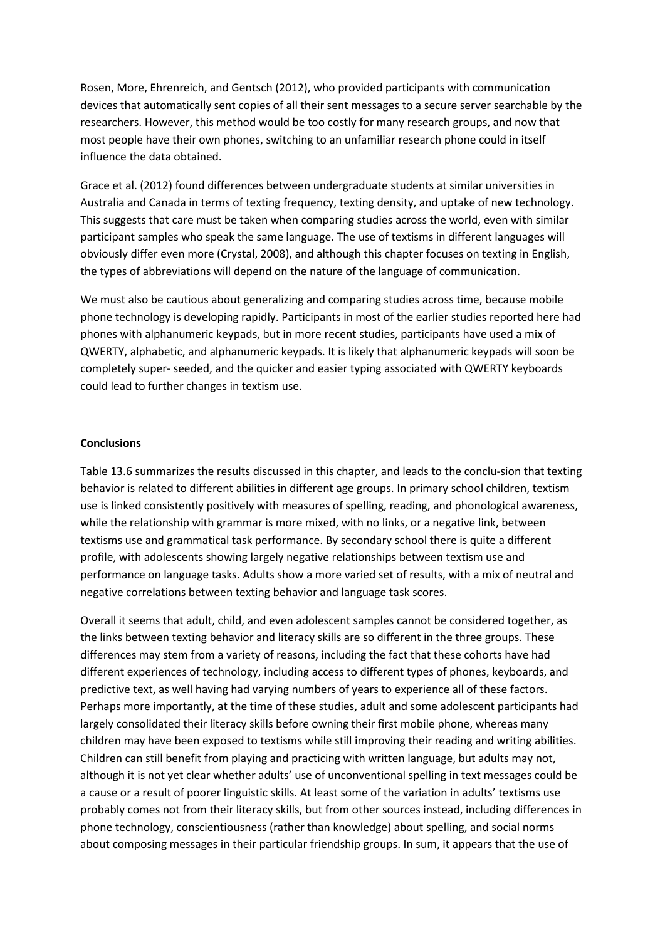Rosen, More, Ehrenreich, and Gentsch (2012), who provided participants with communication devices that automatically sent copies of all their sent messages to a secure server searchable by the researchers. However, this method would be too costly for many research groups, and now that most people have their own phones, switching to an unfamiliar research phone could in itself influence the data obtained.

Grace et al. (2012) found differences between undergraduate students at similar universities in Australia and Canada in terms of texting frequency, texting density, and uptake of new technology. This suggests that care must be taken when comparing studies across the world, even with similar participant samples who speak the same language. The use of textisms in different languages will obviously differ even more (Crystal, 2008), and although this chapter focuses on texting in English, the types of abbreviations will depend on the nature of the language of communication.

We must also be cautious about generalizing and comparing studies across time, because mobile phone technology is developing rapidly. Participants in most of the earlier studies reported here had phones with alphanumeric keypads, but in more recent studies, participants have used a mix of QWERTY, alphabetic, and alphanumeric keypads. It is likely that alphanumeric keypads will soon be completely super- seeded, and the quicker and easier typing associated with QWERTY keyboards could lead to further changes in textism use.

#### **Conclusions**

Table 13.6 summarizes the results discussed in this chapter, and leads to the conclu-sion that texting behavior is related to different abilities in different age groups. In primary school children, textism use is linked consistently positively with measures of spelling, reading, and phonological awareness, while the relationship with grammar is more mixed, with no links, or a negative link, between textisms use and grammatical task performance. By secondary school there is quite a different profile, with adolescents showing largely negative relationships between textism use and performance on language tasks. Adults show a more varied set of results, with a mix of neutral and negative correlations between texting behavior and language task scores.

Overall it seems that adult, child, and even adolescent samples cannot be considered together, as the links between texting behavior and literacy skills are so different in the three groups. These differences may stem from a variety of reasons, including the fact that these cohorts have had different experiences of technology, including access to different types of phones, keyboards, and predictive text, as well having had varying numbers of years to experience all of these factors. Perhaps more importantly, at the time of these studies, adult and some adolescent participants had largely consolidated their literacy skills before owning their first mobile phone, whereas many children may have been exposed to textisms while still improving their reading and writing abilities. Children can still benefit from playing and practicing with written language, but adults may not, although it is not yet clear whether adults' use of unconventional spelling in text messages could be a cause or a result of poorer linguistic skills. At least some of the variation in adults' textisms use probably comes not from their literacy skills, but from other sources instead, including differences in phone technology, conscientiousness (rather than knowledge) about spelling, and social norms about composing messages in their particular friendship groups. In sum, it appears that the use of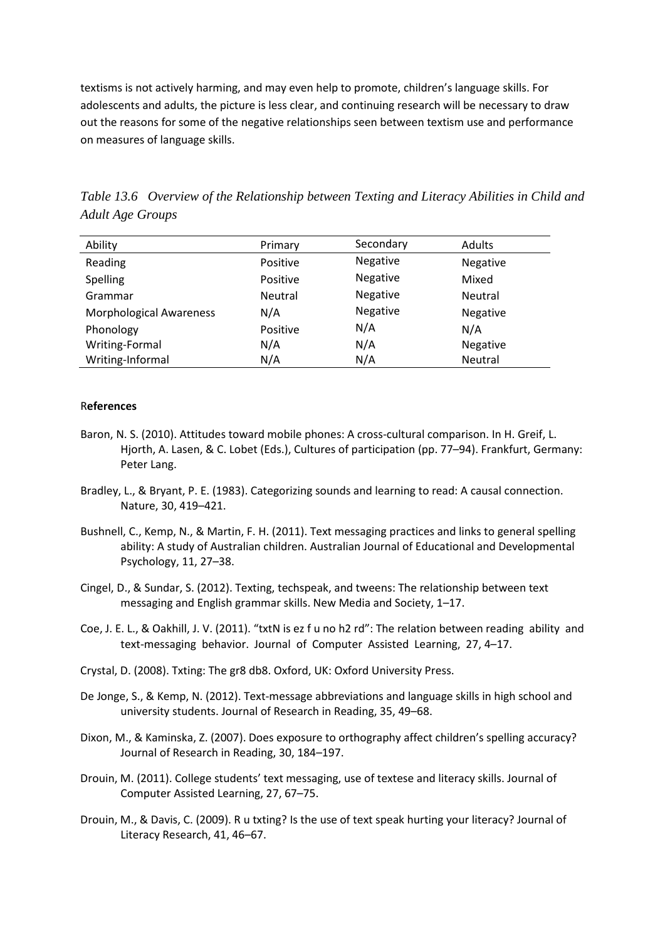textisms is not actively harming, and may even help to promote, children's language skills. For adolescents and adults, the picture is less clear, and continuing research will be necessary to draw out the reasons for some of the negative relationships seen between textism use and performance on measures of language skills.

*Table 13.6 Overview of the Relationship between Texting and Literacy Abilities in Child and Adult Age Groups*

| Ability                        | Primary  | Secondary | Adults   |
|--------------------------------|----------|-----------|----------|
| Reading                        | Positive | Negative  | Negative |
| <b>Spelling</b>                | Positive | Negative  | Mixed    |
| Grammar                        | Neutral  | Negative  | Neutral  |
| <b>Morphological Awareness</b> | N/A      | Negative  | Negative |
| Phonology                      | Positive | N/A       | N/A      |
| Writing-Formal                 | N/A      | N/A       | Negative |
| Writing-Informal               | N/A      | N/A       | Neutral  |

#### R**eferences**

- Baron, N. S. (2010). Attitudes toward mobile phones: A cross-cultural comparison. In H. Greif, L. Hjorth, A. Lasen, & C. Lobet (Eds.), Cultures of participation (pp. 77–94). Frankfurt, Germany: Peter Lang.
- Bradley, L., & Bryant, P. E. (1983). Categorizing sounds and learning to read: A causal connection. Nature, 30, 419–421.
- Bushnell, C., Kemp, N., & Martin, F. H. (2011). Text messaging practices and links to general spelling ability: A study of Australian children. Australian Journal of Educational and Developmental Psychology, 11, 27–38.
- Cingel, D., & Sundar, S. (2012). Texting, techspeak, and tweens: The relationship between text messaging and English grammar skills. New Media and Society, 1–17.
- Coe, J. E. L., & Oakhill, J. V. (2011). "txtN is ez f u no h2 rd": The relation between reading ability and text-messaging behavior. Journal of Computer Assisted Learning, 27, 4–17.
- Crystal, D. (2008). Txting: The gr8 db8. Oxford, UK: Oxford University Press.
- De Jonge, S., & Kemp, N. (2012). Text-message abbreviations and language skills in high school and university students. Journal of Research in Reading, 35, 49–68.
- Dixon, M., & Kaminska, Z. (2007). Does exposure to orthography affect children's spelling accuracy? Journal of Research in Reading, 30, 184–197.
- Drouin, M. (2011). College students' text messaging, use of textese and literacy skills. Journal of Computer Assisted Learning, 27, 67–75.
- Drouin, M., & Davis, C. (2009). R u txting? Is the use of text speak hurting your literacy? Journal of Literacy Research, 41, 46–67.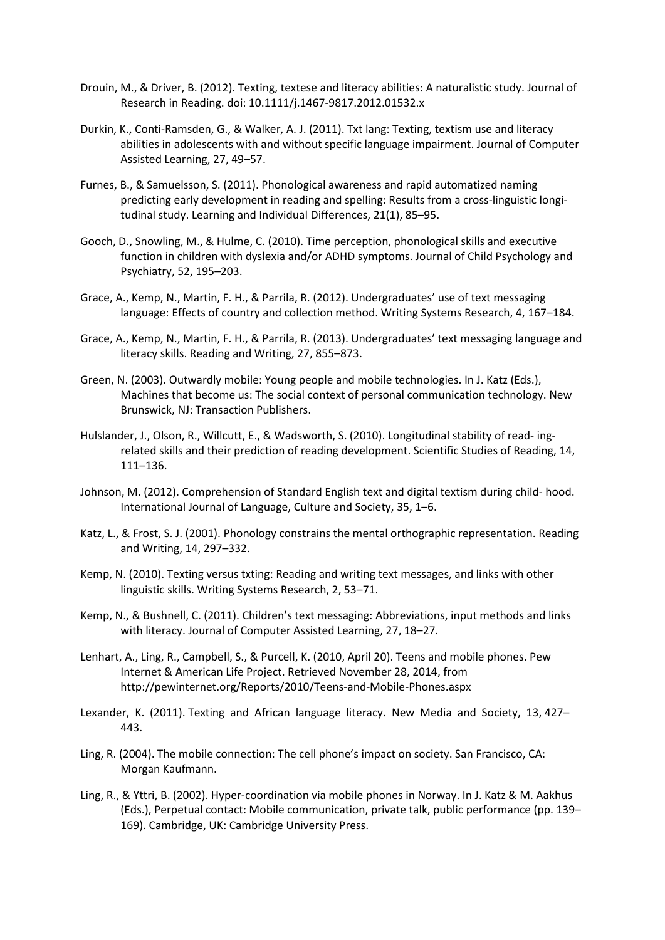- Drouin, M., & Driver, B. (2012). Texting, textese and literacy abilities: A naturalistic study. Journal of Research in Reading. doi: 10.1111/j.1467-9817.2012.01532.x
- Durkin, K., Conti-Ramsden, G., & Walker, A. J. (2011). Txt lang: Texting, textism use and literacy abilities in adolescents with and without specific language impairment. Journal of Computer Assisted Learning, 27, 49–57.
- Furnes, B., & Samuelsson, S. (2011). Phonological awareness and rapid automatized naming predicting early development in reading and spelling: Results from a cross-linguistic longitudinal study. Learning and Individual Differences, 21(1), 85–95.
- Gooch, D., Snowling, M., & Hulme, C. (2010). Time perception, phonological skills and executive function in children with dyslexia and/or ADHD symptoms. Journal of Child Psychology and Psychiatry, 52, 195–203.
- Grace, A., Kemp, N., Martin, F. H., & Parrila, R. (2012). Undergraduates' use of text messaging language: Effects of country and collection method. Writing Systems Research, 4, 167–184.
- Grace, A., Kemp, N., Martin, F. H., & Parrila, R. (2013). Undergraduates' text messaging language and literacy skills. Reading and Writing, 27, 855–873.
- Green, N. (2003). Outwardly mobile: Young people and mobile technologies. In J. Katz (Eds.), Machines that become us: The social context of personal communication technology. New Brunswick, NJ: Transaction Publishers.
- Hulslander, J., Olson, R., Willcutt, E., & Wadsworth, S. (2010). Longitudinal stability of read- ingrelated skills and their prediction of reading development. Scientific Studies of Reading, 14, 111–136.
- Johnson, M. (2012). Comprehension of Standard English text and digital textism during child- hood. International Journal of Language, Culture and Society, 35, 1–6.
- Katz, L., & Frost, S. J. (2001). Phonology constrains the mental orthographic representation. Reading and Writing, 14, 297–332.
- Kemp, N. (2010). Texting versus txting: Reading and writing text messages, and links with other linguistic skills. Writing Systems Research, 2, 53–71.
- Kemp, N., & Bushnell, C. (2011). Children's text messaging: Abbreviations, input methods and links with literacy. Journal of Computer Assisted Learning, 27, 18–27.
- Lenhart, A., Ling, R., Campbell, S., & Purcell, K. (2010, April 20). Teens and mobile phones. Pew Internet & American Life Project. Retrieved November 28, 2014, from http://pewinternet.org/Reports/2010/Teens-and-Mobile-Phones.aspx
- Lexander, K. (2011). Texting and African language literacy. New Media and Society, 13, 427– 443.
- Ling, R. (2004). The mobile connection: The cell phone's impact on society. San Francisco, CA: Morgan Kaufmann.
- Ling, R., & Yttri, B. (2002). Hyper-coordination via mobile phones in Norway. In J. Katz & M. Aakhus (Eds.), Perpetual contact: Mobile communication, private talk, public performance (pp. 139– 169). Cambridge, UK: Cambridge University Press.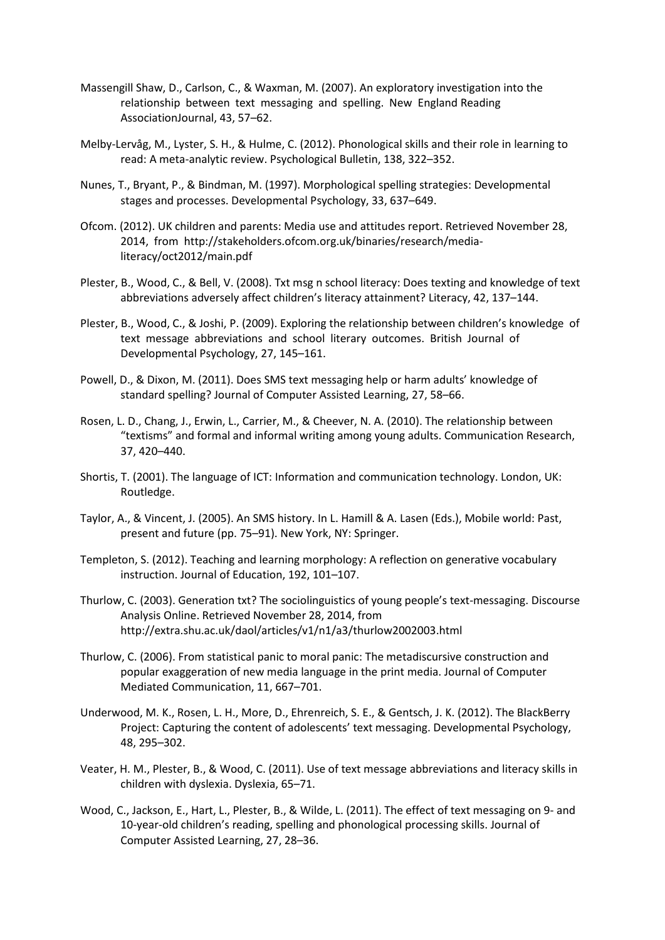- Massengill Shaw, D., Carlson, C., & Waxman, M. (2007). An exploratory investigation into the relationship between text messaging and spelling. New England Reading AssociationJournal, 43, 57–62.
- Melby-Lervåg, M., Lyster, S. H., & Hulme, C. (2012). Phonological skills and their role in learning to read: A meta-analytic review. Psychological Bulletin, 138, 322–352.
- Nunes, T., Bryant, P., & Bindman, M. (1997). Morphological spelling strategies: Developmental stages and processes. Developmental Psychology, 33, 637–649.
- Ofcom. (2012). UK children and parents: Media use and attitudes report. Retrieved November 28, 2014, from http://stakeholders.ofcom.org.uk/binaries/research/medialiteracy/oct2012/main.pdf
- Plester, B., Wood, C., & Bell, V. (2008). Txt msg n school literacy: Does texting and knowledge of text abbreviations adversely affect children's literacy attainment? Literacy, 42, 137–144.
- Plester, B., Wood, C., & Joshi, P. (2009). Exploring the relationship between children's knowledge of text message abbreviations and school literary outcomes. British Journal of Developmental Psychology, 27, 145–161.
- Powell, D., & Dixon, M. (2011). Does SMS text messaging help or harm adults' knowledge of standard spelling? Journal of Computer Assisted Learning, 27, 58–66.
- Rosen, L. D., Chang, J., Erwin, L., Carrier, M., & Cheever, N. A. (2010). The relationship between "textisms" and formal and informal writing among young adults. Communication Research, 37, 420–440.
- Shortis, T. (2001). The language of ICT: Information and communication technology. London, UK: Routledge.
- Taylor, A., & Vincent, J. (2005). An SMS history. In L. Hamill & A. Lasen (Eds.), Mobile world: Past, present and future (pp. 75–91). New York, NY: Springer.
- Templeton, S. (2012). Teaching and learning morphology: A reflection on generative vocabulary instruction. Journal of Education, 192, 101–107.
- Thurlow, C. (2003). Generation txt? The sociolinguistics of young people's text-messaging. Discourse Analysis Online. Retrieved November 28, 2014, from http://extra.shu.ac.uk/daol/articles/v1/n1/a3/thurlow2002003.html
- Thurlow, C. (2006). From statistical panic to moral panic: The metadiscursive construction and popular exaggeration of new media language in the print media. Journal of Computer Mediated Communication, 11, 667–701.
- Underwood, M. K., Rosen, L. H., More, D., Ehrenreich, S. E., & Gentsch, J. K. (2012). The BlackBerry Project: Capturing the content of adolescents' text messaging. Developmental Psychology, 48, 295–302.
- Veater, H. M., Plester, B., & Wood, C. (2011). Use of text message abbreviations and literacy skills in children with dyslexia. Dyslexia, 65–71.
- Wood, C., Jackson, E., Hart, L., Plester, B., & Wilde, L. (2011). The effect of text messaging on 9- and 10-year-old children's reading, spelling and phonological processing skills. Journal of Computer Assisted Learning, 27, 28–36.